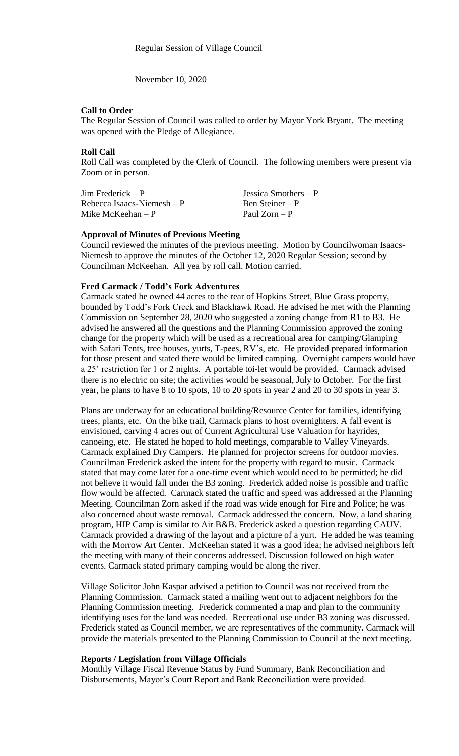November 10, 2020

### **Call to Order**

The Regular Session of Council was called to order by Mayor York Bryant. The meeting was opened with the Pledge of Allegiance.

## **Roll Call**

Roll Call was completed by the Clerk of Council. The following members were present via Zoom or in person.

| $\text{Jim Frederick} - \text{P}$ | Jessica Smothers $-P$ |
|-----------------------------------|-----------------------|
| Rebecca Isaacs-Niemesh $-P$       | Ben Steiner – P       |
| Mike McKeehan – P                 | Paul Zorn – P         |

#### **Approval of Minutes of Previous Meeting**

Council reviewed the minutes of the previous meeting. Motion by Councilwoman Isaacs-Niemesh to approve the minutes of the October 12, 2020 Regular Session; second by Councilman McKeehan. All yea by roll call. Motion carried.

### **Fred Carmack / Todd's Fork Adventures**

Carmack stated he owned 44 acres to the rear of Hopkins Street, Blue Grass property, bounded by Todd's Fork Creek and Blackhawk Road. He advised he met with the Planning Commission on September 28, 2020 who suggested a zoning change from R1 to B3. He advised he answered all the questions and the Planning Commission approved the zoning change for the property which will be used as a recreational area for camping/Glamping with Safari Tents, tree houses, yurts, T-pees, RV's, etc. He provided prepared information for those present and stated there would be limited camping. Overnight campers would have a 25' restriction for 1 or 2 nights. A portable toi-let would be provided. Carmack advised there is no electric on site; the activities would be seasonal, July to October. For the first year, he plans to have 8 to 10 spots, 10 to 20 spots in year 2 and 20 to 30 spots in year 3.

Plans are underway for an educational building/Resource Center for families, identifying trees, plants, etc. On the bike trail, Carmack plans to host overnighters. A fall event is envisioned, carving 4 acres out of Current Agricultural Use Valuation for hayrides, canoeing, etc. He stated he hoped to hold meetings, comparable to Valley Vineyards. Carmack explained Dry Campers. He planned for projector screens for outdoor movies. Councilman Frederick asked the intent for the property with regard to music. Carmack stated that may come later for a one-time event which would need to be permitted; he did not believe it would fall under the B3 zoning. Frederick added noise is possible and traffic flow would be affected. Carmack stated the traffic and speed was addressed at the Planning Meeting. Councilman Zorn asked if the road was wide enough for Fire and Police; he was also concerned about waste removal. Carmack addressed the concern. Now, a land sharing program, HIP Camp is similar to Air B&B. Frederick asked a question regarding CAUV. Carmack provided a drawing of the layout and a picture of a yurt. He added he was teaming with the Morrow Art Center. McKeehan stated it was a good idea; he advised neighbors left the meeting with many of their concerns addressed. Discussion followed on high water events. Carmack stated primary camping would be along the river.

Village Solicitor John Kaspar advised a petition to Council was not received from the Planning Commission. Carmack stated a mailing went out to adjacent neighbors for the Planning Commission meeting. Frederick commented a map and plan to the community identifying uses for the land was needed. Recreational use under B3 zoning was discussed. Frederick stated as Council member, we are representatives of the community. Carmack will provide the materials presented to the Planning Commission to Council at the next meeting.

#### **Reports / Legislation from Village Officials**

Monthly Village Fiscal Revenue Status by Fund Summary, Bank Reconciliation and Disbursements, Mayor's Court Report and Bank Reconciliation were provided.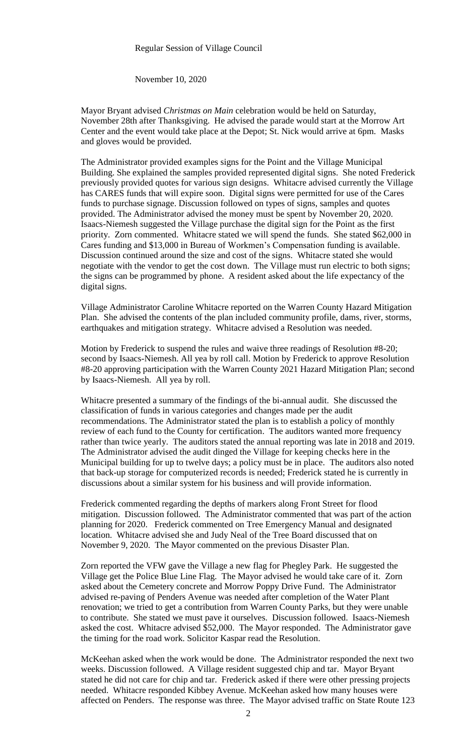November 10, 2020

Mayor Bryant advised *Christmas on Main* celebration would be held on Saturday, November 28th after Thanksgiving. He advised the parade would start at the Morrow Art Center and the event would take place at the Depot; St. Nick would arrive at 6pm. Masks and gloves would be provided.

The Administrator provided examples signs for the Point and the Village Municipal Building. She explained the samples provided represented digital signs. She noted Frederick previously provided quotes for various sign designs. Whitacre advised currently the Village has CARES funds that will expire soon. Digital signs were permitted for use of the Cares funds to purchase signage. Discussion followed on types of signs, samples and quotes provided. The Administrator advised the money must be spent by November 20, 2020. Isaacs-Niemesh suggested the Village purchase the digital sign for the Point as the first priority. Zorn commented. Whitacre stated we will spend the funds. She stated \$62,000 in Cares funding and \$13,000 in Bureau of Workmen's Compensation funding is available. Discussion continued around the size and cost of the signs. Whitacre stated she would negotiate with the vendor to get the cost down. The Village must run electric to both signs; the signs can be programmed by phone. A resident asked about the life expectancy of the digital signs.

Village Administrator Caroline Whitacre reported on the Warren County Hazard Mitigation Plan. She advised the contents of the plan included community profile, dams, river, storms, earthquakes and mitigation strategy. Whitacre advised a Resolution was needed.

Motion by Frederick to suspend the rules and waive three readings of Resolution #8-20; second by Isaacs-Niemesh. All yea by roll call. Motion by Frederick to approve Resolution #8-20 approving participation with the Warren County 2021 Hazard Mitigation Plan; second by Isaacs-Niemesh. All yea by roll.

Whitacre presented a summary of the findings of the bi-annual audit. She discussed the classification of funds in various categories and changes made per the audit recommendations. The Administrator stated the plan is to establish a policy of monthly review of each fund to the County for certification. The auditors wanted more frequency rather than twice yearly. The auditors stated the annual reporting was late in 2018 and 2019. The Administrator advised the audit dinged the Village for keeping checks here in the Municipal building for up to twelve days; a policy must be in place. The auditors also noted that back-up storage for computerized records is needed; Frederick stated he is currently in discussions about a similar system for his business and will provide information.

Frederick commented regarding the depths of markers along Front Street for flood mitigation. Discussion followed. The Administrator commented that was part of the action planning for 2020. Frederick commented on Tree Emergency Manual and designated location. Whitacre advised she and Judy Neal of the Tree Board discussed that on November 9, 2020. The Mayor commented on the previous Disaster Plan.

Zorn reported the VFW gave the Village a new flag for Phegley Park. He suggested the Village get the Police Blue Line Flag. The Mayor advised he would take care of it. Zorn asked about the Cemetery concrete and Morrow Poppy Drive Fund. The Administrator advised re-paving of Penders Avenue was needed after completion of the Water Plant renovation; we tried to get a contribution from Warren County Parks, but they were unable to contribute. She stated we must pave it ourselves. Discussion followed. Isaacs-Niemesh asked the cost. Whitacre advised \$52,000. The Mayor responded. The Administrator gave the timing for the road work. Solicitor Kaspar read the Resolution.

McKeehan asked when the work would be done. The Administrator responded the next two weeks. Discussion followed. A Village resident suggested chip and tar. Mayor Bryant stated he did not care for chip and tar. Frederick asked if there were other pressing projects needed. Whitacre responded Kibbey Avenue. McKeehan asked how many houses were affected on Penders. The response was three. The Mayor advised traffic on State Route 123